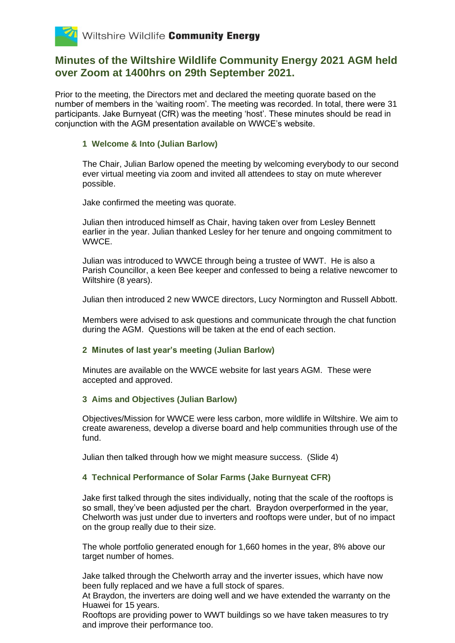

## **Minutes of the Wiltshire Wildlife Community Energy 2021 AGM held over Zoom at 1400hrs on 29th September 2021.**

Prior to the meeting, the Directors met and declared the meeting quorate based on the number of members in the 'waiting room'. The meeting was recorded. In total, there were 31 participants. Jake Burnyeat (CfR) was the meeting 'host'. These minutes should be read in conjunction with the AGM presentation available on WWCE's website.

### **1 Welcome & Into (Julian Barlow)**

The Chair, Julian Barlow opened the meeting by welcoming everybody to our second ever virtual meeting via zoom and invited all attendees to stay on mute wherever possible.

Jake confirmed the meeting was quorate.

Julian then introduced himself as Chair, having taken over from Lesley Bennett earlier in the year. Julian thanked Lesley for her tenure and ongoing commitment to WWCE.

Julian was introduced to WWCE through being a trustee of WWT. He is also a Parish Councillor, a keen Bee keeper and confessed to being a relative newcomer to Wiltshire (8 years).

Julian then introduced 2 new WWCE directors, Lucy Normington and Russell Abbott.

Members were advised to ask questions and communicate through the chat function during the AGM. Questions will be taken at the end of each section.

#### **2 Minutes of last year's meeting (Julian Barlow)**

Minutes are available on the WWCE website for last years AGM. These were accepted and approved.

#### **3 Aims and Objectives (Julian Barlow)**

Objectives/Mission for WWCE were less carbon, more wildlife in Wiltshire. We aim to create awareness, develop a diverse board and help communities through use of the fund.

Julian then talked through how we might measure success. (Slide 4)

#### **4 Technical Performance of Solar Farms (Jake Burnyeat CFR)**

Jake first talked through the sites individually, noting that the scale of the rooftops is so small, they've been adjusted per the chart. Braydon overperformed in the year, Chelworth was just under due to inverters and rooftops were under, but of no impact on the group really due to their size.

The whole portfolio generated enough for 1,660 homes in the year, 8% above our target number of homes.

Jake talked through the Chelworth array and the inverter issues, which have now been fully replaced and we have a full stock of spares.

At Braydon, the inverters are doing well and we have extended the warranty on the Huawei for 15 years.

Rooftops are providing power to WWT buildings so we have taken measures to try and improve their performance too.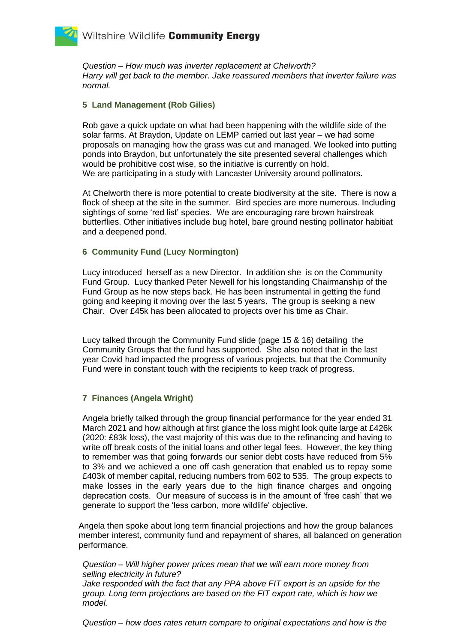*Question – How much was inverter replacement at Chelworth? Harry will get back to the member. Jake reassured members that inverter failure was normal.*

#### **5 Land Management (Rob Gilies)**

Rob gave a quick update on what had been happening with the wildlife side of the solar farms. At Braydon, Update on LEMP carried out last year – we had some proposals on managing how the grass was cut and managed. We looked into putting ponds into Braydon, but unfortunately the site presented several challenges which would be prohibitive cost wise, so the initiative is currently on hold. We are participating in a study with Lancaster University around pollinators.

At Chelworth there is more potential to create biodiversity at the site. There is now a flock of sheep at the site in the summer. Bird species are more numerous. Including sightings of some 'red list' species. We are encouraging rare brown hairstreak butterflies. Other initiatives include bug hotel, bare ground nesting pollinator habitiat and a deepened pond.

## **6 Community Fund (Lucy Normington)**

Lucy introduced herself as a new Director. In addition she is on the Community Fund Group. Lucy thanked Peter Newell for his longstanding Chairmanship of the Fund Group as he now steps back. He has been instrumental in getting the fund going and keeping it moving over the last 5 years. The group is seeking a new Chair. Over £45k has been allocated to projects over his time as Chair.

Lucy talked through the Community Fund slide (page 15 & 16) detailing the Community Groups that the fund has supported. She also noted that in the last year Covid had impacted the progress of various projects, but that the Community Fund were in constant touch with the recipients to keep track of progress.

## **7 Finances (Angela Wright)**

Angela briefly talked through the group financial performance for the year ended 31 March 2021 and how although at first glance the loss might look quite large at £426k (2020: £83k loss), the vast majority of this was due to the refinancing and having to write off break costs of the initial loans and other legal fees. However, the key thing to remember was that going forwards our senior debt costs have reduced from 5% to 3% and we achieved a one off cash generation that enabled us to repay some £403k of member capital, reducing numbers from 602 to 535. The group expects to make losses in the early years due to the high finance charges and ongoing deprecation costs. Our measure of success is in the amount of 'free cash' that we generate to support the 'less carbon, more wildlife' objective.

Angela then spoke about long term financial projections and how the group balances member interest, community fund and repayment of shares, all balanced on generation performance.

*Question – Will higher power prices mean that we will earn more money from selling electricity in future?*

*Jake responded with the fact that any PPA above FIT export is an upside for the group. Long term projections are based on the FIT export rate, which is how we model.* 

*Question – how does rates return compare to original expectations and how is the*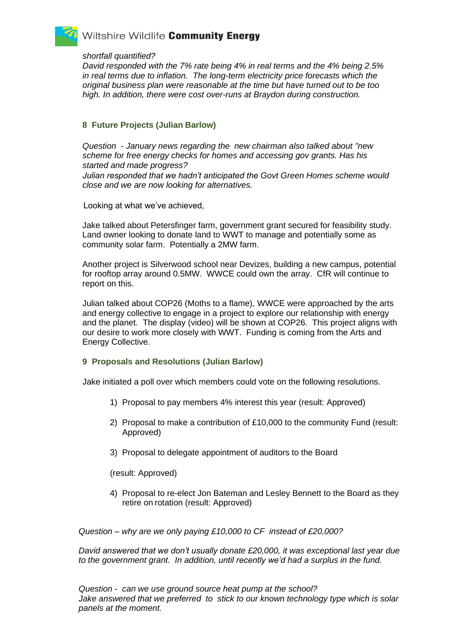# Wiltshire Wildlife Community Energy

#### *shortfall quantified?*

*David responded with the 7% rate being 4% in real terms and the 4% being 2.5% in real terms due to inflation. The long-term electricity price forecasts which the original business plan were reasonable at the time but have turned out to be too high. In addition, there were cost over-runs at Braydon during construction.*

### **8 Future Projects (Julian Barlow)**

*Question - January news regarding the new chairman also talked about "new scheme for free energy checks for homes and accessing gov grants. Has his started and made progress? Julian responded that we hadn't anticipated the Govt Green Homes scheme would close and we are now looking for alternatives.* 

Looking at what we've achieved,

Jake talked about Petersfinger farm, government grant secured for feasibility study. Land owner looking to donate land to WWT to manage and potentially some as community solar farm. Potentially a 2MW farm.

Another project is Silverwood school near Devizes, building a new campus, potential for rooftop array around 0.5MW. WWCE could own the array. CfR will continue to report on this.

Julian talked about COP26 (Moths to a flame), WWCE were approached by the arts and energy collective to engage in a project to explore our relationship with energy and the planet. The display (video) will be shown at COP26. This project aligns with our desire to work more closely with WWT. Funding is coming from the Arts and Energy Collective.

## **9 Proposals and Resolutions (Julian Barlow)**

Jake initiated a poll over which members could vote on the following resolutions.

- 1) Proposal to pay members 4% interest this year (result: Approved)
- 2) Proposal to make a contribution of £10,000 to the community Fund (result: Approved)
- 3) Proposal to delegate appointment of auditors to the Board

(result: Approved)

4) Proposal to re-elect Jon Bateman and Lesley Bennett to the Board as they retire on rotation (result: Approved)

*Question – why are we only paying £10,000 to CF instead of £20,000?*

*David answered that we don't usually donate £20,000, it was exceptional last year due*  to the government grant. In addition, until recently we'd had a surplus in the fund.

*Question - can we use ground source heat pump at the school? Jake answered that we preferred to stick to our known technology type which is solar panels at the moment.*